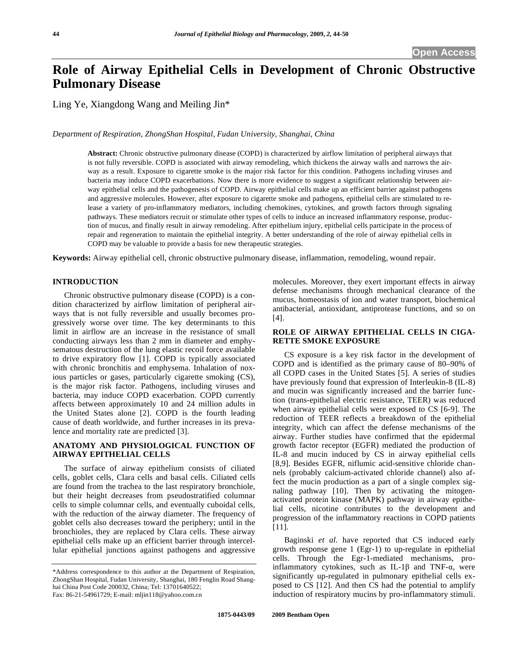# **Role of Airway Epithelial Cells in Development of Chronic Obstructive Pulmonary Disease**

Ling Ye, Xiangdong Wang and Meiling Jin\*

*Department of Respiration, ZhongShan Hospital, Fudan University, Shanghai, China* 

**Abstract:** Chronic obstructive pulmonary disease (COPD) is characterized by airflow limitation of peripheral airways that is not fully reversible. COPD is associated with airway remodeling, which thickens the airway walls and narrows the airway as a result. Exposure to cigarette smoke is the major risk factor for this condition. Pathogens including viruses and bacteria may induce COPD exacerbations. Now there is more evidence to suggest a significant relationship between airway epithelial cells and the pathogenesis of COPD. Airway epithelial cells make up an efficient barrier against pathogens and aggressive molecules. However, after exposure to cigarette smoke and pathogens, epithelial cells are stimulated to release a variety of pro-inflammatory mediators, including chemokines, cytokines, and growth factors through signaling pathways. These mediators recruit or stimulate other types of cells to induce an increased inflammatory response, production of mucus, and finally result in airway remodeling. After epithelium injury, epithelial cells participate in the process of repair and regeneration to maintain the epithelial integrity. A better understanding of the role of airway epithelial cells in COPD may be valuable to provide a basis for new therapeutic strategies.

**Keywords:** Airway epithelial cell, chronic obstructive pulmonary disease, inflammation, remodeling, wound repair.

# **INTRODUCTION**

 Chronic obstructive pulmonary disease (COPD) is a condition characterized by airflow limitation of peripheral airways that is not fully reversible and usually becomes progressively worse over time. The key determinants to this limit in airflow are an increase in the resistance of small conducting airways less than 2 mm in diameter and emphysematous destruction of the lung elastic recoil force available to drive expiratory flow [1]. COPD is typically associated with chronic bronchitis and emphysema. Inhalation of noxious particles or gases, particularly cigarette smoking (CS), is the major risk factor. Pathogens, including viruses and bacteria, may induce COPD exacerbation. COPD currently affects between approximately 10 and 24 million adults in the United States alone [2]. COPD is the fourth leading cause of death worldwide, and further increases in its prevalence and mortality rate are predicted [3].

### **ANATOMY AND PHYSIOLOGICAL FUNCTION OF AIRWAY EPITHELIAL CELLS**

 The surface of airway epithelium consists of ciliated cells, goblet cells, Clara cells and basal cells. Ciliated cells are found from the trachea to the last respiratory bronchiole, but their height decreases from pseudostratified columnar cells to simple columnar cells, and eventually cuboidal cells, with the reduction of the airway diameter. The frequency of goblet cells also decreases toward the periphery; until in the bronchioles, they are replaced by Clara cells. These airway epithelial cells make up an efficient barrier through intercellular epithelial junctions against pathogens and aggressive

molecules. Moreover, they exert important effects in airway defense mechanisms through mechanical clearance of the mucus, homeostasis of ion and water transport, biochemical antibacterial, antioxidant, antiprotease functions, and so on [4].

#### **ROLE OF AIRWAY EPITHELIAL CELLS IN CIGA-RETTE SMOKE EXPOSURE**

 CS exposure is a key risk factor in the development of COPD and is identified as the primary cause of 80–90% of all COPD cases in the United States [5]. A series of studies have previously found that expression of Interleukin-8 (IL-8) and mucin was significantly increased and the barrier function (trans-epithelial electric resistance, TEER) was reduced when airway epithelial cells were exposed to CS [6-9]. The reduction of TEER reflects a breakdown of the epithelial integrity, which can affect the defense mechanisms of the airway. Further studies have confirmed that the epidermal growth factor receptor (EGFR) mediated the production of IL-8 and mucin induced by CS in airway epithelial cells [8,9]. Besides EGFR, niflumic acid-sensitive chloride channels (probably calcium-activated chloride channel) also affect the mucin production as a part of a single complex signaling pathway [10]. Then by activating the mitogenactivated protein kinase (MAPK) pathway in airway epithelial cells, nicotine contributes to the development and progression of the inflammatory reactions in COPD patients [11].

 Baginski *et al*. have reported that CS induced early growth response gene 1 (Egr-1) to up-regulate in epithelial cells. Through the Egr-1-mediated mechanisms, proinflammatory cytokines, such as IL-1 $\beta$  and TNF- $\alpha$ , were significantly up-regulated in pulmonary epithelial cells exposed to CS [12]. And then CS had the potential to amplify induction of respiratory mucins by pro-inflammatory stimuli.

<sup>\*</sup>Address correspondence to this author at the Department of Respiration, ZhongShan Hospital, Fudan University, Shanghai, 180 Fenglin Road Shanghai China Post Code 200032, China; Tel: 13701640522; Fax: 86-21-54961729; E-mail: mljin118@yahoo.com.cn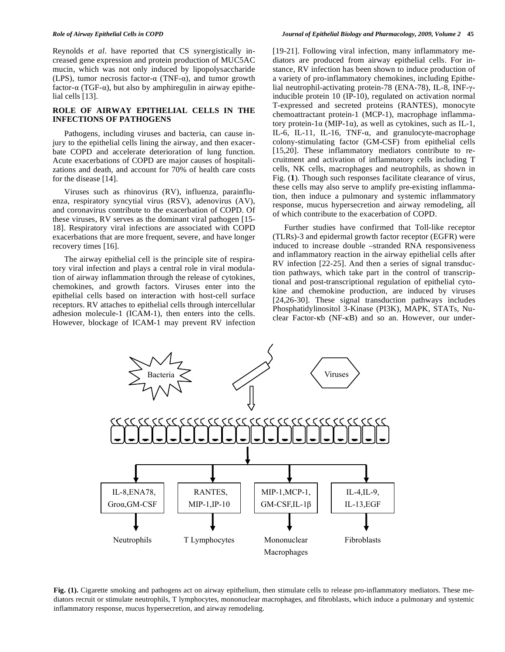Reynolds *et al*. have reported that CS synergistically increased gene expression and protein production of MUC5AC mucin, which was not only induced by lipopolysaccharide (LPS), tumor necrosis factor- $\alpha$  (TNF- $\alpha$ ), and tumor growth factor- $\alpha$  (TGF- $\alpha$ ), but also by amphiregulin in airway epithelial cells [13].

#### **ROLE OF AIRWAY EPITHELIAL CELLS IN THE INFECTIONS OF PATHOGENS**

 Pathogens, including viruses and bacteria, can cause injury to the epithelial cells lining the airway, and then exacerbate COPD and accelerate deterioration of lung function. Acute exacerbations of COPD are major causes of hospitalizations and death, and account for 70% of health care costs for the disease [14].

 Viruses such as rhinovirus (RV), influenza, parainfluenza, respiratory syncytial virus (RSV), adenovirus (AV), and coronavirus contribute to the exacerbation of COPD. Of these viruses, RV serves as the dominant viral pathogen [15- 18]. Respiratory viral infections are associated with COPD exacerbations that are more frequent, severe, and have longer recovery times [16].

 The airway epithelial cell is the principle site of respiratory viral infection and plays a central role in viral modulation of airway inflammation through the release of cytokines, chemokines, and growth factors. Viruses enter into the epithelial cells based on interaction with host-cell surface receptors. RV attaches to epithelial cells through intercellular adhesion molecule-1 (ICAM-1), then enters into the cells. However, blockage of ICAM-1 may prevent RV infection [19-21]. Following viral infection, many inflammatory mediators are produced from airway epithelial cells. For instance, RV infection has been shown to induce production of a variety of pro-inflammatory chemokines, including Epithelial neutrophil-activating protein-78 (ENA-78), IL-8, INF-γinducible protein 10 (IP-10), regulated on activation normal T-expressed and secreted proteins (RANTES), monocyte chemoattractant protein-1 (MCP-1), macrophage inflammatory protein-1 $\alpha$  (MIP-1 $\alpha$ ), as well as cytokines, such as IL-1, IL-6, IL-11, IL-16, TNF- $\alpha$ , and granulocyte-macrophage colony-stimulating factor (GM-CSF) from epithelial cells [15,20]. These inflammatory mediators contribute to recruitment and activation of inflammatory cells including T cells, NK cells, macrophages and neutrophils, as shown in Fig. (**1**). Though such responses facilitate clearance of virus, these cells may also serve to amplify pre-existing inflammation, then induce a pulmonary and systemic inflammatory response, mucus hypersecretion and airway remodeling, all of which contribute to the exacerbation of COPD.

 Further studies have confirmed that Toll-like receptor (TLRs)-3 and epidermal growth factor receptor (EGFR) were induced to increase double –stranded RNA responsiveness and inflammatory reaction in the airway epithelial cells after RV infection [22-25]. And then a series of signal transduction pathways, which take part in the control of transcriptional and post-transcriptional regulation of epithelial cytokine and chemokine production, are induced by viruses [24,26-30]. These signal transduction pathways includes Phosphatidylinositol 3-Kinase (PI3K), MAPK, STATs, Nuclear Factor-kb (NF-kB) and so an. However, our under-



**Fig. (1).** Cigarette smoking and pathogens act on airway epithelium, then stimulate cells to release pro-inflammatory mediators. These mediators recruit or stimulate neutrophils, T lymphocytes, mononuclear macrophages, and fibroblasts, which induce a pulmonary and systemic inflammatory response, mucus hypersecretion, and airway remodeling.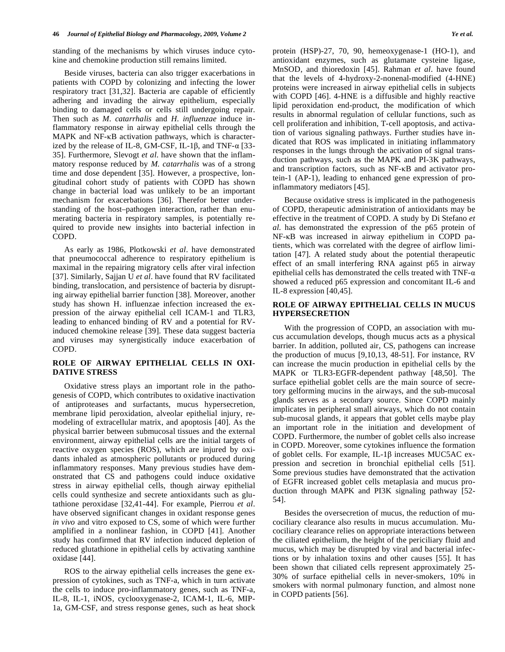standing of the mechanisms by which viruses induce cytokine and chemokine production still remains limited.

 Beside viruses, bacteria can also trigger exacerbations in patients with COPD by colonizing and infecting the lower respiratory tract [31,32]. Bacteria are capable of efficiently adhering and invading the airway epithelium, especially binding to damaged cells or cells still undergoing repair. Then such as *M. catarrhalis* and *H. influenzae* induce inflammatory response in airway epithelial cells through the  $MAPK$  and  $NF-\kappa B$  activation pathways, which is characterized by the release of IL-8, GM-CSF, IL-1 $\beta$ , and TNF- $\alpha$  [33-35]. Furthermore, Slevogt *et al*. have shown that the inflammatory response reduced by *M. catarrhalis* was of a strong time and dose dependent [35]. However, a prospective, longitudinal cohort study of patients with COPD has shown change in bacterial load was unlikely to be an important mechanism for exacerbations [36]. Therefor better understanding of the host–pathogen interaction, rather than enumerating bacteria in respiratory samples, is potentially required to provide new insights into bacterial infection in COPD.

 As early as 1986, Plotkowski *et al*. have demonstrated that pneumococcal adherence to respiratory epithelium is maximal in the repairing migratory cells after viral infection [37]. Similarly, Sajjan U *et al*. have found that RV facilitated binding, translocation, and persistence of bacteria by disrupting airway epithelial barrier function [38]. Moreover, another study has shown H. influenzae infection increased the expression of the airway epithelial cell ICAM-1 and TLR3, leading to enhanced binding of RV and a potential for RVinduced chemokine release [39]. These data suggest bacteria and viruses may synergistically induce exacerbation of COPD.

#### **ROLE OF AIRWAY EPITHELIAL CELLS IN OXI-DATIVE STRESS**

 Oxidative stress plays an important role in the pathogenesis of COPD, which contributes to oxidative inactivation of antiproteases and surfactants, mucus hypersecretion, membrane lipid peroxidation, alveolar epithelial injury, remodeling of extracellular matrix, and apoptosis [40]. As the physical barrier between submucosal tissues and the external environment, airway epithelial cells are the initial targets of reactive oxygen species (ROS), which are injured by oxidants inhaled as atmospheric pollutants or produced during inflammatory responses. Many previous studies have demonstrated that CS and pathogens could induce oxidative stress in airway epithelial cells, though airway epithelial cells could synthesize and secrete antioxidants such as glutathione peroxidase [32,41-44]. For example, Pierrou *et al*. have observed significant changes in oxidant response genes *in vivo* and vitro exposed to CS, some of which were further amplified in a nonlinear fashion, in COPD [41]. Another study has confirmed that RV infection induced depletion of reduced glutathione in epithelial cells by activating xanthine oxidase [44].

 ROS to the airway epithelial cells increases the gene expression of cytokines, such as TNF-a, which in turn activate the cells to induce pro-inflammatory genes, such as TNF-a, IL-8, IL-1, iNOS, cyclooxygenase-2, ICAM-1, IL-6, MIP-1a, GM-CSF, and stress response genes, such as heat shock protein (HSP)-27, 70, 90, hemeoxygenase-1 (HO-1), and antioxidant enzymes, such as glutamate cysteine ligase, MnSOD, and thioredoxin [45]. Rahman *et al*. have found that the levels of 4-hydroxy-2-nonenal-modified (4-HNE) proteins were increased in airway epithelial cells in subjects with COPD [46]. 4-HNE is a diffusible and highly reactive lipid peroxidation end-product, the modification of which results in abnormal regulation of cellular functions, such as cell proliferation and inhibition, T-cell apoptosis, and activation of various signaling pathways. Further studies have indicated that ROS was implicated in initiating inflammatory responses in the lungs through the activation of signal transduction pathways, such as the MAPK and  $PI-3K$  pathways, and transcription factors, such as NF- $\kappa$ B and activator protein-1 (AP-1), leading to enhanced gene expression of proinflammatory mediators [45].

 Because oxidative stress is implicated in the pathogenesis of COPD, therapeutic administration of antioxidants may be effective in the treatment of COPD. A study by Di Stefano *et al*. has demonstrated the expression of the p65 protein of NF- $\kappa$ B was increased in airway epithelium in COPD patients, which was correlated with the degree of airflow limitation [47]. A related study about the potential therapeutic effect of an small interfering RNA against p65 in airway epithelial cells has demonstrated the cells treated with TNF- $\alpha$ showed a reduced p65 expression and concomitant IL-6 and IL-8 expression [40,45].

#### **ROLE OF AIRWAY EPITHELIAL CELLS IN MUCUS HYPERSECRETION**

 With the progression of COPD, an association with mucus accumulation develops, though mucus acts as a physical barrier. In addition, polluted air, CS, pathogens can increase the production of mucus [9,10,13, 48-51]. For instance, RV can increase the mucin production in epithelial cells by the MAPK or TLR3-EGFR-dependent pathway [48,50]. The surface epithelial goblet cells are the main source of secretory gelforming mucins in the airways, and the sub-mucosal glands serves as a secondary source. Since COPD mainly implicates in peripheral small airways, which do not contain sub-mucosal glands, it appears that goblet cells maybe play an important role in the initiation and development of COPD. Furthermore, the number of goblet cells also increase in COPD. Moreover, some cytokines influence the formation of goblet cells. For example, IL-1 $\beta$  increases MUC5AC expression and secretion in bronchial epithelial cells [51]. Some previous studies have demonstrated that the activation of EGFR increased goblet cells metaplasia and mucus production through MAPK and PI3K signaling pathway [52- 54].

 Besides the oversecretion of mucus, the reduction of mucociliary clearance also results in mucus accumulation. Mucociliary clearance relies on appropriate interactions between the ciliated epithelium, the height of the periciliary fluid and mucus, which may be disrupted by viral and bacterial infections or by inhalation toxins and other causes [55]. It has been shown that ciliated cells represent approximately 25- 30% of surface epithelial cells in never-smokers, 10% in smokers with normal pulmonary function, and almost none in COPD patients [56].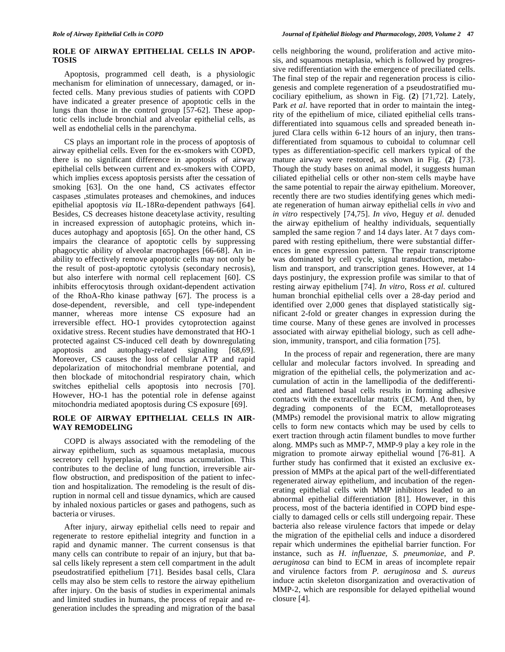### **ROLE OF AIRWAY EPITHELIAL CELLS IN APOP-TOSIS**

 Apoptosis, programmed cell death, is a physiologic mechanism for elimination of unnecessary, damaged, or infected cells. Many previous studies of patients with COPD have indicated a greater presence of apoptotic cells in the lungs than those in the control group [57-62]. These apoptotic cells include bronchial and alveolar epithelial cells, as well as endothelial cells in the parenchyma.

 CS plays an important role in the process of apoptosis of airway epithelial cells. Even for the ex-smokers with COPD, there is no significant difference in apoptosis of airway epithelial cells between current and ex-smokers with COPD, which implies excess apoptosis persists after the cessation of smoking [63]. On the one hand, CS activates effector caspases ,stimulates proteases and chemokines, and induces epithelial apoptosis *via* IL-18R $\alpha$ -dependent pathways [64]. Besides, CS decreases histone deacetylase activity, resulting in increased expression of autophagic proteins, which induces autophagy and apoptosis [65]. On the other hand, CS impairs the clearance of apoptotic cells by suppressing phagocytic ability of alveolar macrophages [66-68]. An inability to effectively remove apoptotic cells may not only be the result of post-apoptotic cytolysis (secondary necrosis), but also interfere with normal cell replacement [60]. CS inhibits efferocytosis through oxidant-dependent activation of the RhoA-Rho kinase pathway [67]. The process is a dose-dependent, reversible, and cell type-independent manner, whereas more intense CS exposure had an irreversible effect. HO-1 provides cytoprotection against oxidative stress. Recent studies have demonstrated that HO-1 protected against CS-induced cell death by downregulating apoptosis and autophagy-related signaling [68,69]. Moreover, CS causes the loss of cellular ATP and rapid depolarization of mitochondrial membrane potential, and then blockade of mitochondrial respiratory chain, which switches epithelial cells apoptosis into necrosis [70]. However, HO-1 has the potential role in defense against mitochondria mediated apoptosis during CS exposure [69].

# **ROLE OF AIRWAY EPITHELIAL CELLS IN AIR-WAY REMODELING**

 COPD is always associated with the remodeling of the airway epithelium, such as squamous metaplasia, mucous secretory cell hyperplasia, and mucus accumulation. This contributes to the decline of lung function, irreversible airflow obstruction, and predisposition of the patient to infection and hospitalization. The remodeling is the result of disruption in normal cell and tissue dynamics, which are caused by inhaled noxious particles or gases and pathogens, such as bacteria or viruses.

 After injury, airway epithelial cells need to repair and regenerate to restore epithelial integrity and function in a rapid and dynamic manner. The current consensus is that many cells can contribute to repair of an injury, but that basal cells likely represent a stem cell compartment in the adult pseudostratified epithelium [71]. Besides basal cells, Clara cells may also be stem cells to restore the airway epithelium after injury. On the basis of studies in experimental animals and limited studies in humans, the process of repair and regeneration includes the spreading and migration of the basal

cells neighboring the wound, proliferation and active mitosis, and squamous metaplasia, which is followed by progressive redifferentiation with the emergence of preciliated cells. The final step of the repair and regeneration process is ciliogenesis and complete regeneration of a pseudostratified mucociliary epithelium, as shown in Fig. (**2**) [71,72]. Lately, Park *et al*. have reported that in order to maintain the integrity of the epithelium of mice, ciliated epithelial cells transdifferentiated into squamous cells and spreaded beneath injured Clara cells within 6-12 hours of an injury, then transdifferentiated from squamous to cuboidal to columnar cell types as differentiation-specific cell markers typical of the mature airway were restored, as shown in Fig. (**2**) [73]. Though the study bases on animal model, it suggests human ciliated epithelial cells or other non-stem cells maybe have the same potential to repair the airway epithelium. Moreover, recently there are two studies identifying genes which mediate regeneration of human airway epithelial cells *in vivo* and *in vitro* respectively [74,75]. *In vivo*, Heguy *et al*. denuded the airway epithelium of healthy individuals, sequentially sampled the same region 7 and 14 days later. At 7 days compared with resting epithelium, there were substantial differences in gene expression pattern. The repair transcriptome was dominated by cell cycle, signal transduction, metabolism and transport, and transcription genes. However, at 14 days postinjury, the expression profile was similar to that of resting airway epithelium [74]. *In vitro*, Ross *et al*. cultured human bronchial epithelial cells over a 28-day period and identified over 2,000 genes that displayed statistically significant 2-fold or greater changes in expression during the time course. Many of these genes are involved in processes associated with airway epithelial biology, such as cell adhesion, immunity, transport, and cilia formation [75].

 In the process of repair and regeneration, there are many cellular and molecular factors involved. In spreading and migration of the epithelial cells, the polymerization and accumulation of actin in the lamellipodia of the dedifferentiated and flattened basal cells results in forming adhesive contacts with the extracellular matrix (ECM). And then, by degrading components of the ECM, metalloproteases (MMPs) remodel the provisional matrix to allow migrating cells to form new contacts which may be used by cells to exert traction through actin filament bundles to move further along. MMPs such as MMP-7, MMP-9 play a key role in the migration to promote airway epithelial wound [76-81]. A further study has confirmed that it existed an exclusive expression of MMPs at the apical part of the well-differentiated regenerated airway epithelium, and incubation of the regenerating epithelial cells with MMP inhibitors leaded to an abnormal epithelial differentiation [81]. However, in this process, most of the bacteria identified in COPD bind especially to damaged cells or cells still undergoing repair. These bacteria also release virulence factors that impede or delay the migration of the epithelial cells and induce a disordered repair which undermines the epithelial barrier function. For instance, such as *H. influenzae, S. pneumoniae,* and *P. aeruginosa* can bind to ECM in areas of incomplete repair and virulence factors from *P. aeruginosa* and *S. aureus*  induce actin skeleton disorganization and overactivation of MMP-2, which are responsible for delayed epithelial wound closure [4].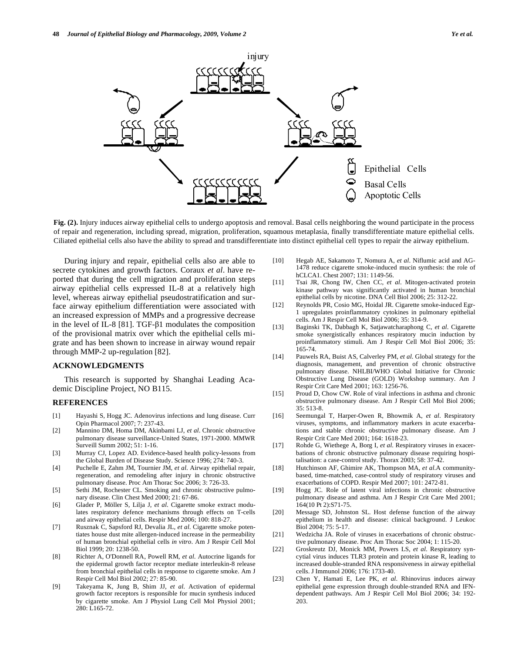

**Fig. (2).** Injury induces airway epithelial cells to undergo apoptosis and removal. Basal cells neighboring the wound participate in the process of repair and regeneration, including spread, migration, proliferation, squamous metaplasia, finally transdifferentiate mature epithelial cells. Ciliated epithelial cells also have the ability to spread and transdifferentiate into distinct epithelial cell types to repair the airway epithelium.

 During injury and repair, epithelial cells also are able to secrete cytokines and growth factors. Coraux *et al*. have reported that during the cell migration and proliferation steps airway epithelial cells expressed IL-8 at a relatively high level, whereas airway epithelial pseudostratification and surface airway epithelium differentiation were associated with an increased expression of MMPs and a progressive decrease in the level of IL-8 [81]. TGF- $\beta$ 1 modulates the composition of the provisional matrix over which the epithelial cells migrate and has been shown to increase in airway wound repair through MMP-2 up-regulation [82].

#### **ACKNOWLEDGMENTS**

 This research is supported by Shanghai Leading Academic Discipline Project, NO B115.

#### **REFERENCES**

- [1] Hayashi S, Hogg JC. Adenovirus infections and lung disease. Curr Opin Pharmacol 2007; 7: 237-43.
- [2] Mannino DM, Homa DM, Akinbami LJ, *et al*. Chronic obstructive pulmonary disease surveillance-United States, 1971-2000. MMWR Surveill Summ 2002; 51: 1-16.
- [3] Murray CJ, Lopez AD. Evidence-based health policy-lessons from the Global Burden of Disease Study. Science 1996; 274: 740-3.
- [4] Puchelle E, Zahm JM, Tournier JM, *et al*. Airway epithelial repair, regeneration, and remodeling after injury in chronic obstructive pulmonary disease. Proc Am Thorac Soc 2006; 3: 726-33.
- [5] Sethi JM, Rochester CL. Smoking and chronic obstructive pulmonary disease. Clin Chest Med 2000; 21: 67-86.
- [6] Glader P, Möller S, Lilja J, *et al*. Cigarette smoke extract modulates respiratory defence mechanisms through effects on T-cells and airway epithelial cells. Respir Med 2006; 100: 818-27.
- [7] Rusznak C, Sapsford RJ, Devalia JL, *et al*. Cigarette smoke potentiates house dust mite allergen-induced increase in the permeability of human bronchial epithelial cells *in vitro*. Am J Respir Cell Mol Biol 1999; 20: 1238-50.
- [8] Richter A, O'Donnell RA, Powell RM, *et al*. Autocrine ligands for the epidermal growth factor receptor mediate interleukin-8 release from bronchial epithelial cells in response to cigarette smoke. Am J Respir Cell Mol Biol 2002; 27: 85-90.
- [9] Takeyama K, Jung B, Shim JJ, *et al*. Activation of epidermal growth factor receptors is responsible for mucin synthesis induced by cigarette smoke. Am J Physiol Lung Cell Mol Physiol 2001; 280: L165-72.
- [10] Hegab AE, Sakamoto T, Nomura A, *et al*. Niflumic acid and AG-1478 reduce cigarette smoke-induced mucin synthesis: the role of hCLCA1. Chest 2007; 131: 1149-56.
- [11] Tsai JR, Chong IW, Chen CC, *et al*. Mitogen-activated protein kinase pathway was significantly activated in human bronchial epithelial cells by nicotine. DNA Cell Biol 2006; 25: 312-22.
- [12] Reynolds PR, Cosio MG, Hoidal JR. Cigarette smoke-induced Egr-1 upregulates proinflammatory cytokines in pulmonary epithelial cells. Am J Respir Cell Mol Biol 2006; 35: 314-9.
- [13] Baginski TK, Dabbagh K, Satjawatcharaphong C, *et al*. Cigarette smoke synergistically enhances respiratory mucin induction by proinflammatory stimuli. Am J Respir Cell Mol Biol 2006; 35: 165-74.
- [14] Pauwels RA, Buist AS, Calverley PM, *et al*. Global strategy for the diagnosis, management, and prevention of chronic obstructive pulmonary disease. NHLBI/WHO Global Initiative for Chronic Obstructive Lung Disease (GOLD) Workshop summary. Am J Respir Crit Care Med 2001; 163: 1256-76.
- [15] Proud D, Chow CW. Role of viral infections in asthma and chronic obstructive pulmonary disease. Am J Respir Cell Mol Biol 2006; 35: 513-8.
- [16] Seemungal T, Harper-Owen R, Bhowmik A, *et al*. Respiratory viruses, symptoms, and inflammatory markers in acute exacerbations and stable chronic obstructive pulmonary disease. Am J Respir Crit Care Med 2001; 164: 1618-23.
- [17] Rohde G, Wiethege A, Borg I, *et al*. Respiratory viruses in exacerbations of chronic obstructive pulmonary disease requiring hospitalisation: a case-control study. Thorax 2003; 58: 37-42.
- [18] Hutchinson AF, Ghimire AK, Thompson MA, *et al*.A communitybased, time-matched, case-control study of respiratory viruses and exacerbations of COPD. Respir Med 2007; 101: 2472-81.
- [19] Hogg JC. Role of latent viral infections in chronic obstructive pulmonary disease and asthma. Am J Respir Crit Care Med 2001; 164(10 Pt 2):S71-75.
- [20] Message SD, Johnston SL. Host defense function of the airway epithelium in health and disease: clinical background. J Leukoc Biol 2004; 75: 5-17.
- [21] Wedzicha JA. Role of viruses in exacerbations of chronic obstructive pulmonary disease. Proc Am Thorac Soc 2004; 1: 115-20.
- [22] Groskreutz DJ, Monick MM, Powers LS, *et al*. Respiratory syncytial virus induces TLR3 protein and protein kinase R, leading to increased double-stranded RNA responsiveness in airway epithelial cells. J Immunol 2006; 176: 1733-40.
- [23] Chen Y, Hamati E, Lee PK, *et al*. Rhinovirus induces airway epithelial gene expression through double-stranded RNA and IFNdependent pathways. Am J Respir Cell Mol Biol 2006; 34: 192- 203.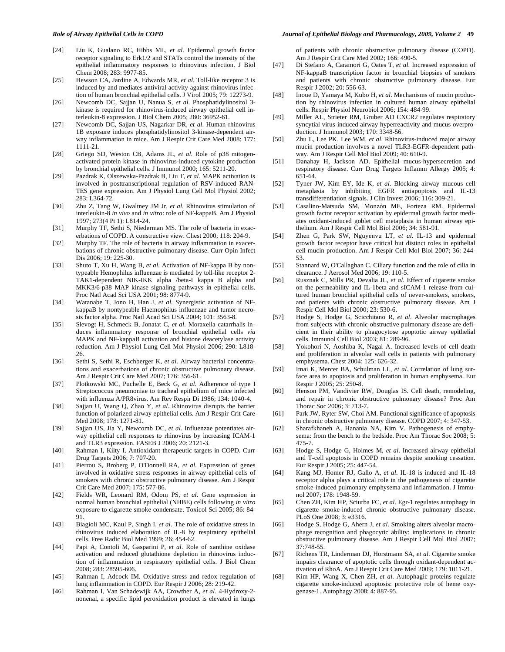- [24] Liu K, Gualano RC, Hibbs ML, *et al*. Epidermal growth factor receptor signaling to Erk1/2 and STATs control the intensity of the epithelial inflammatory responses to rhinovirus infection. J Biol Chem 2008; 283: 9977-85.
- [25] Hewson CA, Jardine A, Edwards MR, *et al*. Toll-like receptor 3 is induced by and mediates antiviral activity against rhinovirus infection of human bronchial epithelial cells. J Virol 2005; 79: 12273-9.
- [26] Newcomb DC, Sajjan U, Nanua S, *et al*. Phosphatidylinositol 3 kinase is required for rhinovirus-induced airway epithelial cell interleukin-8 expression. J Biol Chem 2005; 280: 36952-61.
- [27] Newcomb DC, Sajjan US, Nagarkar DR, *et al*. Human rhinovirus 1B exposure induces phosphatidylinositol 3-kinase-dependent airway inflammation in mice. Am J Respir Crit Care Med 2008; 177: 1111-21.
- [28] Griego SD, Weston CB, Adams JL, *et al*. Role of p38 mitogenactivated protein kinase in rhinovirus-induced cytokine production by bronchial epithelial cells. J Immunol 2000; 165: 5211-20.
- [29] Pazdrak K, Olszewska-Pazdrak B, Liu T, *et al*. MAPK activation is involved in posttranscriptional regulation of RSV-induced RAN-TES gene expression. Am J Physiol Lung Cell Mol Physiol 2002; 283: L364-72.
- [30] Zhu Z, Tang W, Gwaltney JM Jr, *et al*. Rhinovirus stimulation of interleukin-8 *in vivo* and *in vitro*: role of NF-kappaB. Am J Physiol 1997; 273(4 Pt 1): L814-24.
- [31] Murphy TF, Sethi S, Niederman MS. The role of bacteria in exacerbations of COPD. A constructive view. Chest 2000; 118: 204-9.
- [32] Murphy TF. The role of bacteria in airway inflammation in exacerbations of chronic obstructive pulmonary disease. Curr Opin Infect Dis 2006; 19: 225-30.
- [33] Shuto T, Xu H, Wang B, *et al*. Activation of NF-kappa B by nontypeable Hemophilus influenzae is mediated by toll-like receptor 2- TAK1-dependent NIK-IKK alpha /beta-I kappa B alpha and MKK3/6-p38 MAP kinase signaling pathways in epithelial cells. Proc Natl Acad Sci USA 2001; 98: 8774-9.
- [34] Watanabe T, Jono H, Han J, *et al*. Synergistic activation of NFkappaB by nontypeable Haemophilus influenzae and tumor necrosis factor alpha. Proc Natl Acad Sci USA 2004; 101: 3563-8.
- [35] Slevogt H, Schmeck B, Jonatat C, *et al*. Moraxella catarrhalis induces inflammatory response of bronchial epithelial cells *via*  MAPK and NF-kappaB activation and histone deacetylase activity reduction. Am J Physiol Lung Cell Mol Physiol 2006; 290: L818- 26.
- [36] Sethi S, Sethi R, Eschberger K, *et al*. Airway bacterial concentrations and exacerbations of chronic obstructive pulmonary disease. Am J Respir Crit Care Med 2007; 176: 356-61.
- [37] Plotkowski MC, Puchelle E, Beck G, *et al*. Adherence of type I Streptococcus pneumoniae to tracheal epithelium of mice infected with influenza A/PR8virus. Am Rev Respir Di 1986; 134: 1040-4.
- [38] Sajjan U, Wang Q, Zhao Y, *et al*. Rhinovirus disrupts the barrier function of polarized airway epithelial cells. Am J Respir Crit Care Med 2008; 178: 1271-81.
- [39] Sajjan US, Jia Y, Newcomb DC, *et al*. Influenzae potentiates airway epithelial cell responses to rhinovirus by increasing ICAM-1 and TLR3 expression. FASEB J 2006; 20: 2121-3.
- [40] Rahman I, Kilty I. Antioxidant therapeutic targets in COPD. Curr Drug Targets 2006; 7: 707-20.
- [41] Pierrou S, Broberg P, O'Donnell RA, *et al*. Expression of genes involved in oxidative stress responses in airway epithelial cells of smokers with chronic obstructive pulmonary disease. Am J Respir Crit Care Med 2007; 175: 577-86.
- [42] Fields WR, Leonard RM, Odom PS, *et al*. Gene expression in normal human bronchial epithelial (NHBE) cells following *in vitro* exposure to cigarette smoke condensate. Toxicol Sci 2005; 86: 84- 91.
- [43] Biagioli MC, Kaul P, Singh I, *et al*. The role of oxidative stress in rhinovirus induced elaboration of IL-8 by respiratory epithelial cells. Free Radic Biol Med 1999; 26: 454-62.
- [44] Papi A, Contoli M, Gasparini P, *et al*. Role of xanthine oxidase activation and reduced glutathione depletion in rhinovirus induction of inflammation in respiratory epithelial cells. J Biol Chem 2008; 283: 28595-606.
- [45] Rahman I, Adcock IM. Oxidative stress and redox regulation of lung inflammation in COPD. Eur Respir J 2006; 28: 219-42.
- [46] Rahman I, Van Schadewijk AA, Crowther A, *et al*. 4-Hydroxy-2 nonenal, a specific lipid peroxidation product is elevated in lungs

#### *Role of Airway Epithelial Cells in COPD Journal of Epithelial Biology and Pharmacology, 2009, Volume 2* **49**

of patients with chronic obstructive pulmonary disease (COPD). Am J Respir Crit Care Med 2002; 166: 490-5.

- [47] Di Stefano A, Caramori G, Oates T, *et al*. Increased expression of NF-kappaB transcription factor in bronchial biopsies of smokers and patients with chronic obstructive pulmonary disease. Eur Respir J 2002; 20: 556-63.
- [48] Inoue D, Yamaya M, Kubo H, *et al*. Mechanisms of mucin production by rhinovirus infection in cultured human airway epithelial cells. Respir Physiol Neurobiol 2006; 154: 484-99.
- [49] Miller AL, Strieter RM, Gruber AD CXCR2 regulates respiratory syncytial virus-induced airway hyperreactivity and mucus overproduction. J Immunol 2003; 170: 3348-56.
- [50] Zhu L, Lee PK, Lee WM, *et al*. Rhinovirus-induced major airway mucin production involves a novel TLR3-EGFR-dependent pathway. Am J Respir Cell Mol Biol 2009; 40: 610-9.
- [51] Danahay H, Jackson AD. Epithelial mucus-hypersecretion and respiratory disease. Curr Drug Targets Inflamm Allergy 2005; 4: 651-64.
- [52] Tyner JW, Kim EY, Ide K, *et al*. Blocking airway mucous cell metaplasia by inhibiting EGFR antiapoptosis and IL-13 transdifferentiation signals. J Clin Invest 2006; 116: 309-21.
- [53] Casalino-Matsuda SM, Monzón ME, Forteza RM. Epidermal growth factor receptor activation by epidermal growth factor mediates oxidant-induced goblet cell metaplasia in human airway epithelium. Am J Respir Cell Mol Biol 2006; 34: 581-91.
- [54] Zhen G, Park SW, Nguyenvu LT, *et al*. IL-13 and epidermal growth factor receptor have critical but distinct roles in epithelial cell mucin production. Am J Respir Cell Mol Biol 2007; 36: 244- 53.
- [55] Stannard W, O'Callaghan C. Ciliary function and the role of cilia in clearance. J Aerosol Med 2006; 19: 110-5.
- [56] Rusznak C, Mills PR, Devalia JL, *et al*. Effect of cigarette smoke on the permeability and IL-1beta and sICAM-1 release from cultured human bronchial epithelial cells of never-smokers, smokers, and patients with chronic obstructive pulmonary disease. Am J Respir Cell Mol Biol 2000; 23: 530-6.
- [57] Hodge S, Hodge G, Scicchitano R, *et al*. Alveolar macrophages from subjects with chronic obstructive pulmonary disease are deficient in their ability to phagocytose apoptotic airway epithelial cells. Immunol Cell Biol 2003; 81: 289-96.
- [58] Yokohori N, Aoshiba K, Nagai A. Increased levels of cell death and proliferation in alveolar wall cells in patients with pulmonary emphysema. Chest 2004; 125: 626-32.
- [59] Imai K, Mercer BA, Schulman LL, *et al*. Correlation of lung surface area to apoptosis and proliferation in human emphysema. Eur Respir J 2005; 25: 250-8.
- [60] Henson PM, Vandivier RW, Douglas IS. Cell death, remodeling, and repair in chronic obstructive pulmonary disease? Proc Am Thorac Soc 2006; 3: 713-7.
- [61] Park JW, Ryter SW, Choi AM. Functional significance of apoptosis in chronic obstructive pulmonary disease. COPD 2007; 4: 347-53.
- [62] Sharafkhaneh A, Hanania NA, Kim V. Pathogenesis of emphysema: from the bench to the bedside. Proc Am Thorac Soc 2008; 5: 475-7.
- [63] Hodge S, Hodge G, Holmes M, *et al*. Increased airway epithelial and T-cell apoptosis in COPD remains despite smoking cessation. Eur Respir J 2005; 25: 447-54.
- [64] Kang MJ, Homer RJ, Gallo A, *et al*. IL-18 is induced and IL-18 receptor alpha plays a critical role in the pathogenesis of cigarette smoke-induced pulmonary emphysema and inflammation. J Immunol 2007; 178: 1948-59.
- [65] Chen ZH, Kim HP, Sciurba FC, *et al*. Egr-1 regulates autophagy in cigarette smoke-induced chronic obstructive pulmonary disease. PLoS One 2008; 3: e3316.
- [66] Hodge S, Hodge G, Ahern J, *et al*. Smoking alters alveolar macrophage recognition and phagocytic ability: implications in chronic obstructive pulmonary disease. Am J Respir Cell Mol Biol 2007; 37:748-55.
- [67] Richens TR, Linderman DJ, Horstmann SA, *et al*. Cigarette smoke impairs clearance of apoptotic cells through oxidant-dependent activation of RhoA. Am J Respir Crit Care Med 2009; 179: 1011-21.
- [68] Kim HP, Wang X, Chen ZH, *et al*. Autophagic proteins regulate cigarette smoke-induced apoptosis: protective role of heme oxygenase-1. Autophagy 2008; 4: 887-95.